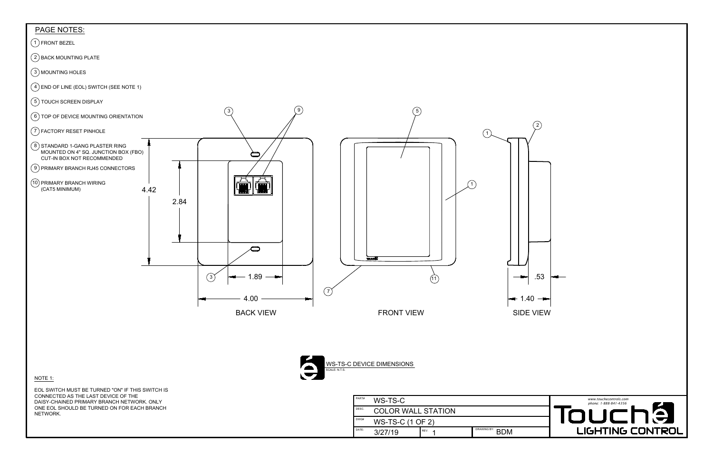





| <b>PAGE NOTES:</b>                                                                                                                                                                                        |                       |                                                |                  |
|-----------------------------------------------------------------------------------------------------------------------------------------------------------------------------------------------------------|-----------------------|------------------------------------------------|------------------|
| 1) FRONT BEZEL                                                                                                                                                                                            |                       |                                                |                  |
| $(2)$ BACK MOUNTING PLATE                                                                                                                                                                                 |                       |                                                |                  |
| $\binom{3}{3}$ MOUNTING HOLES                                                                                                                                                                             |                       |                                                |                  |
| $(4)$ END OF LINE (EOL) SWITCH (SEE NOTE 1)                                                                                                                                                               |                       |                                                |                  |
| 5) TOUCH SCREEN DISPLAY                                                                                                                                                                                   |                       |                                                |                  |
| $(6)$ TOP OF DEVICE MOUNTING ORIENTATION                                                                                                                                                                  | 3                     | $\left(5\right)$                               |                  |
| 7) FACTORY RESET PINHOLE                                                                                                                                                                                  |                       | $\mathbf{1}$                                   | 2 <sup>1</sup>   |
| 8) STANDARD 1-GANG PLASTER RING<br>MOUNTED ON 4" SQ. JUNCTION BOX (FBO)<br>CUT-IN BOX NOT RECOMMENDED<br>9) PRIMARY BRANCH RJ45 CONNECTORS<br>10) PRIMARY BRANCH WIRING<br>(CAT5 MINIMUM)<br>4.42<br>2.84 |                       |                                                |                  |
|                                                                                                                                                                                                           |                       | <b>TOUGHT</b>                                  |                  |
|                                                                                                                                                                                                           | $\binom{3}{ }$<br>.89 | (11)                                           | .53              |
|                                                                                                                                                                                                           | 4.00                  | (7)                                            | $1.40 -$<br>←    |
|                                                                                                                                                                                                           | <b>BACK VIEW</b>      | <b>FRONT VIEW</b>                              | <b>SIDE VIEW</b> |
| NOTE 1:                                                                                                                                                                                                   |                       | WS-TS-C DEVICE DIMENSIONS<br>SCALE: N.T.S.     |                  |
| EOL SWITCH MUST BE TURNED "ON" IF THIS SWITCH IS<br>CONNECTED AS THE LAST DEVICE OF THE                                                                                                                   |                       | PART#                                          |                  |
| DAISY-CHAINED PRIMARY BRANCH NETWORK. ONLY<br>ONE EOL SHOULD BE TURNED ON FOR EACH BRANCH                                                                                                                 |                       | WS-TS-C<br>DESC.<br><b>COLOR WALL STATION</b>  |                  |
| NETWORK.                                                                                                                                                                                                  |                       | DWG#<br>WS-TS-C (1 OF 2)                       |                  |
|                                                                                                                                                                                                           |                       | <b>DRAWING BY:</b><br>DATE:<br>REV.<br>3/27/19 | <b>BDM</b>       |